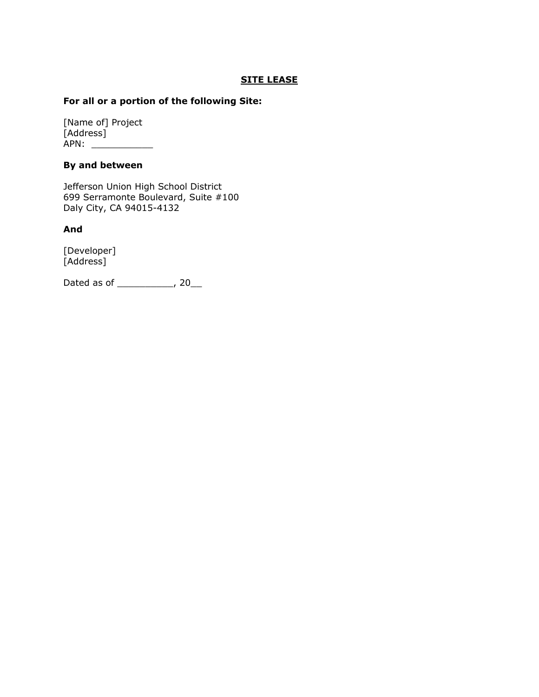#### **SITE LEASE**

#### **For all or a portion of the following Site:**

[Name of] Project [Address] APN: \_\_\_\_\_\_\_\_\_\_\_

#### **By and between**

Jefferson Union High School District 699 Serramonte Boulevard, Suite #100 Daly City, CA 94015-4132

#### **And**

[Developer] [Address]

Dated as of \_\_\_\_\_\_\_\_\_\_, 20\_\_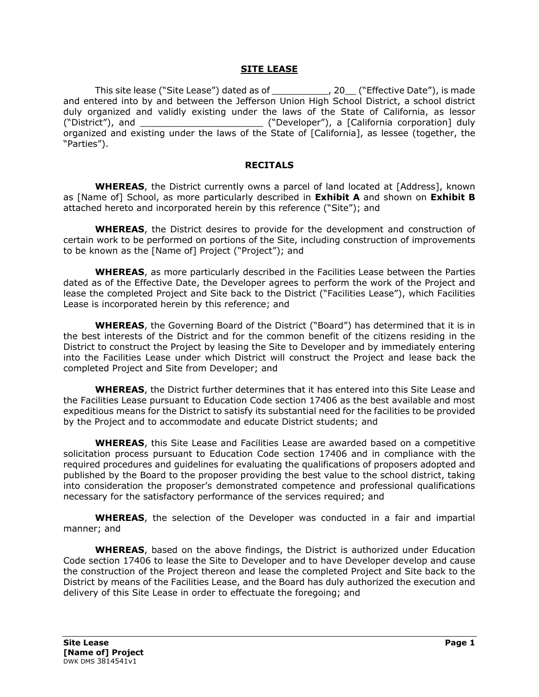#### **SITE LEASE**

This site lease ("Site Lease") dated as of \_\_\_\_\_\_\_\_\_\_, 20\_\_ ("Effective Date"), is made and entered into by and between the Jefferson Union High School District, a school district duly organized and validly existing under the laws of the State of California, as lessor ("District"), and \_\_\_\_\_\_\_\_\_\_\_\_\_\_\_\_\_\_\_\_\_\_ ("Developer"), a [California corporation] duly organized and existing under the laws of the State of [California], as lessee (together, the "Parties").

#### **RECITALS**

**WHEREAS**, the District currently owns a parcel of land located at [Address], known as [Name of] School, as more particularly described in **Exhibit A** and shown on **Exhibit B** attached hereto and incorporated herein by this reference ("Site"); and

**WHEREAS**, the District desires to provide for the development and construction of certain work to be performed on portions of the Site, including construction of improvements to be known as the [Name of] Project ("Project"); and

**WHEREAS**, as more particularly described in the Facilities Lease between the Parties dated as of the Effective Date, the Developer agrees to perform the work of the Project and lease the completed Project and Site back to the District ("Facilities Lease"), which Facilities Lease is incorporated herein by this reference; and

**WHEREAS**, the Governing Board of the District ("Board") has determined that it is in the best interests of the District and for the common benefit of the citizens residing in the District to construct the Project by leasing the Site to Developer and by immediately entering into the Facilities Lease under which District will construct the Project and lease back the completed Project and Site from Developer; and

**WHEREAS**, the District further determines that it has entered into this Site Lease and the Facilities Lease pursuant to Education Code section 17406 as the best available and most expeditious means for the District to satisfy its substantial need for the facilities to be provided by the Project and to accommodate and educate District students; and

**WHEREAS**, this Site Lease and Facilities Lease are awarded based on a competitive solicitation process pursuant to Education Code section 17406 and in compliance with the required procedures and guidelines for evaluating the qualifications of proposers adopted and published by the Board to the proposer providing the best value to the school district, taking into consideration the proposer's demonstrated competence and professional qualifications necessary for the satisfactory performance of the services required; and

**WHEREAS**, the selection of the Developer was conducted in a fair and impartial manner; and

**WHEREAS**, based on the above findings, the District is authorized under Education Code section 17406 to lease the Site to Developer and to have Developer develop and cause the construction of the Project thereon and lease the completed Project and Site back to the District by means of the Facilities Lease, and the Board has duly authorized the execution and delivery of this Site Lease in order to effectuate the foregoing; and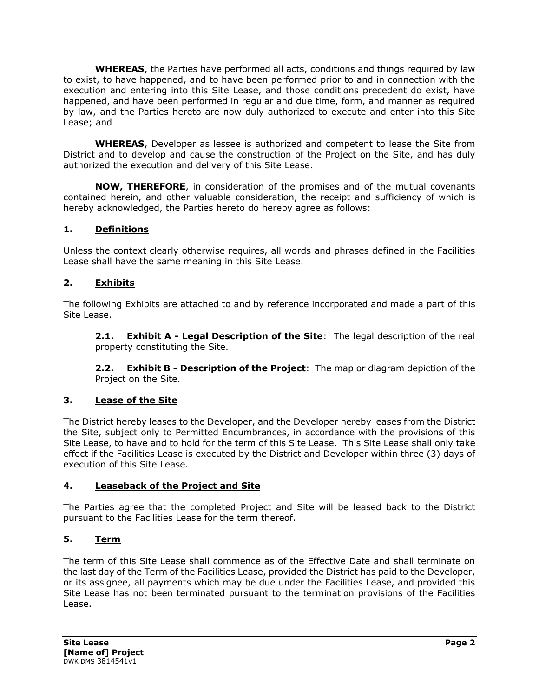**WHEREAS**, the Parties have performed all acts, conditions and things required by law to exist, to have happened, and to have been performed prior to and in connection with the execution and entering into this Site Lease, and those conditions precedent do exist, have happened, and have been performed in regular and due time, form, and manner as required by law, and the Parties hereto are now duly authorized to execute and enter into this Site Lease; and

**WHEREAS**, Developer as lessee is authorized and competent to lease the Site from District and to develop and cause the construction of the Project on the Site, and has duly authorized the execution and delivery of this Site Lease.

**NOW, THEREFORE**, in consideration of the promises and of the mutual covenants contained herein, and other valuable consideration, the receipt and sufficiency of which is hereby acknowledged, the Parties hereto do hereby agree as follows:

# **1. Definitions**

Unless the context clearly otherwise requires, all words and phrases defined in the Facilities Lease shall have the same meaning in this Site Lease.

# **2. Exhibits**

The following Exhibits are attached to and by reference incorporated and made a part of this Site Lease.

**2.1. Exhibit A - Legal Description of the Site**: The legal description of the real property constituting the Site.

**2.2. Exhibit B - Description of the Project**: The map or diagram depiction of the Project on the Site.

# **3. Lease of the Site**

The District hereby leases to the Developer, and the Developer hereby leases from the District the Site, subject only to Permitted Encumbrances, in accordance with the provisions of this Site Lease, to have and to hold for the term of this Site Lease. This Site Lease shall only take effect if the Facilities Lease is executed by the District and Developer within three (3) days of execution of this Site Lease.

# **4. Leaseback of the Project and Site**

The Parties agree that the completed Project and Site will be leased back to the District pursuant to the Facilities Lease for the term thereof.

# **5. Term**

The term of this Site Lease shall commence as of the Effective Date and shall terminate on the last day of the Term of the Facilities Lease, provided the District has paid to the Developer, or its assignee, all payments which may be due under the Facilities Lease, and provided this Site Lease has not been terminated pursuant to the termination provisions of the Facilities Lease.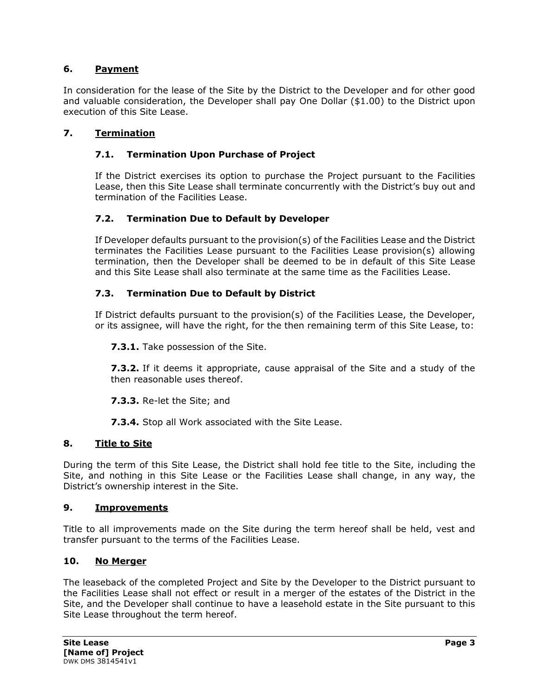# **6. Payment**

In consideration for the lease of the Site by the District to the Developer and for other good and valuable consideration, the Developer shall pay One Dollar (\$1.00) to the District upon execution of this Site Lease.

# **7. Termination**

# **7.1. Termination Upon Purchase of Project**

If the District exercises its option to purchase the Project pursuant to the Facilities Lease, then this Site Lease shall terminate concurrently with the District's buy out and termination of the Facilities Lease.

# **7.2. Termination Due to Default by Developer**

If Developer defaults pursuant to the provision(s) of the Facilities Lease and the District terminates the Facilities Lease pursuant to the Facilities Lease provision(s) allowing termination, then the Developer shall be deemed to be in default of this Site Lease and this Site Lease shall also terminate at the same time as the Facilities Lease.

# **7.3. Termination Due to Default by District**

If District defaults pursuant to the provision(s) of the Facilities Lease, the Developer, or its assignee, will have the right, for the then remaining term of this Site Lease, to:

#### **7.3.1.** Take possession of the Site.

**7.3.2.** If it deems it appropriate, cause appraisal of the Site and a study of the then reasonable uses thereof.

**7.3.3.** Re-let the Site; and

**7.3.4.** Stop all Work associated with the Site Lease.

# **8. Title to Site**

During the term of this Site Lease, the District shall hold fee title to the Site, including the Site, and nothing in this Site Lease or the Facilities Lease shall change, in any way, the District's ownership interest in the Site.

#### **9. Improvements**

Title to all improvements made on the Site during the term hereof shall be held, vest and transfer pursuant to the terms of the Facilities Lease.

# **10. No Merger**

The leaseback of the completed Project and Site by the Developer to the District pursuant to the Facilities Lease shall not effect or result in a merger of the estates of the District in the Site, and the Developer shall continue to have a leasehold estate in the Site pursuant to this Site Lease throughout the term hereof.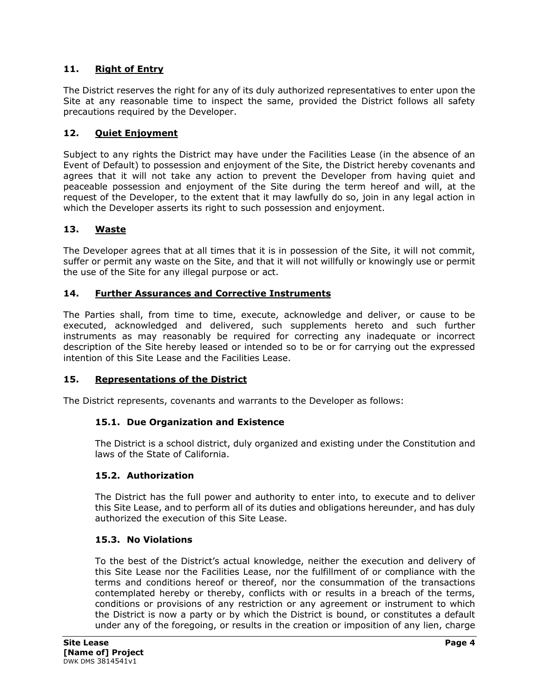# **11. Right of Entry**

The District reserves the right for any of its duly authorized representatives to enter upon the Site at any reasonable time to inspect the same, provided the District follows all safety precautions required by the Developer.

# **12. Quiet Enjoyment**

Subject to any rights the District may have under the Facilities Lease (in the absence of an Event of Default) to possession and enjoyment of the Site, the District hereby covenants and agrees that it will not take any action to prevent the Developer from having quiet and peaceable possession and enjoyment of the Site during the term hereof and will, at the request of the Developer, to the extent that it may lawfully do so, join in any legal action in which the Developer asserts its right to such possession and enjoyment.

# **13. Waste**

The Developer agrees that at all times that it is in possession of the Site, it will not commit, suffer or permit any waste on the Site, and that it will not willfully or knowingly use or permit the use of the Site for any illegal purpose or act.

# **14. Further Assurances and Corrective Instruments**

The Parties shall, from time to time, execute, acknowledge and deliver, or cause to be executed, acknowledged and delivered, such supplements hereto and such further instruments as may reasonably be required for correcting any inadequate or incorrect description of the Site hereby leased or intended so to be or for carrying out the expressed intention of this Site Lease and the Facilities Lease.

# **15. Representations of the District**

The District represents, covenants and warrants to the Developer as follows:

# **15.1. Due Organization and Existence**

The District is a school district, duly organized and existing under the Constitution and laws of the State of California.

# **15.2. Authorization**

The District has the full power and authority to enter into, to execute and to deliver this Site Lease, and to perform all of its duties and obligations hereunder, and has duly authorized the execution of this Site Lease.

# **15.3. No Violations**

To the best of the District's actual knowledge, neither the execution and delivery of this Site Lease nor the Facilities Lease, nor the fulfillment of or compliance with the terms and conditions hereof or thereof, nor the consummation of the transactions contemplated hereby or thereby, conflicts with or results in a breach of the terms, conditions or provisions of any restriction or any agreement or instrument to which the District is now a party or by which the District is bound, or constitutes a default under any of the foregoing, or results in the creation or imposition of any lien, charge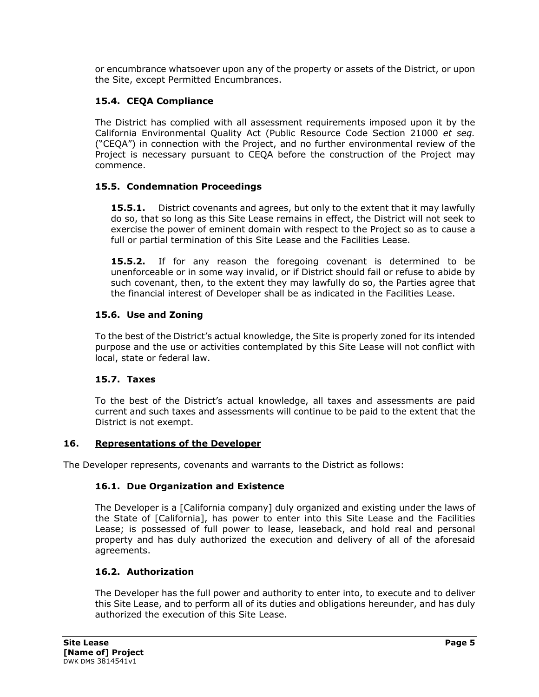or encumbrance whatsoever upon any of the property or assets of the District, or upon the Site, except Permitted Encumbrances.

# **15.4. CEQA Compliance**

The District has complied with all assessment requirements imposed upon it by the California Environmental Quality Act (Public Resource Code Section 21000 *et seq.* ("CEQA") in connection with the Project, and no further environmental review of the Project is necessary pursuant to CEQA before the construction of the Project may commence.

# **15.5. Condemnation Proceedings**

**15.5.1.** District covenants and agrees, but only to the extent that it may lawfully do so, that so long as this Site Lease remains in effect, the District will not seek to exercise the power of eminent domain with respect to the Project so as to cause a full or partial termination of this Site Lease and the Facilities Lease.

**15.5.2.** If for any reason the foregoing covenant is determined to be unenforceable or in some way invalid, or if District should fail or refuse to abide by such covenant, then, to the extent they may lawfully do so, the Parties agree that the financial interest of Developer shall be as indicated in the Facilities Lease.

# **15.6. Use and Zoning**

To the best of the District's actual knowledge, the Site is properly zoned for its intended purpose and the use or activities contemplated by this Site Lease will not conflict with local, state or federal law.

# **15.7. Taxes**

To the best of the District's actual knowledge, all taxes and assessments are paid current and such taxes and assessments will continue to be paid to the extent that the District is not exempt.

# **16. Representations of the Developer**

The Developer represents, covenants and warrants to the District as follows:

# **16.1. Due Organization and Existence**

The Developer is a [California company] duly organized and existing under the laws of the State of [California], has power to enter into this Site Lease and the Facilities Lease; is possessed of full power to lease, leaseback, and hold real and personal property and has duly authorized the execution and delivery of all of the aforesaid agreements.

# **16.2. Authorization**

The Developer has the full power and authority to enter into, to execute and to deliver this Site Lease, and to perform all of its duties and obligations hereunder, and has duly authorized the execution of this Site Lease.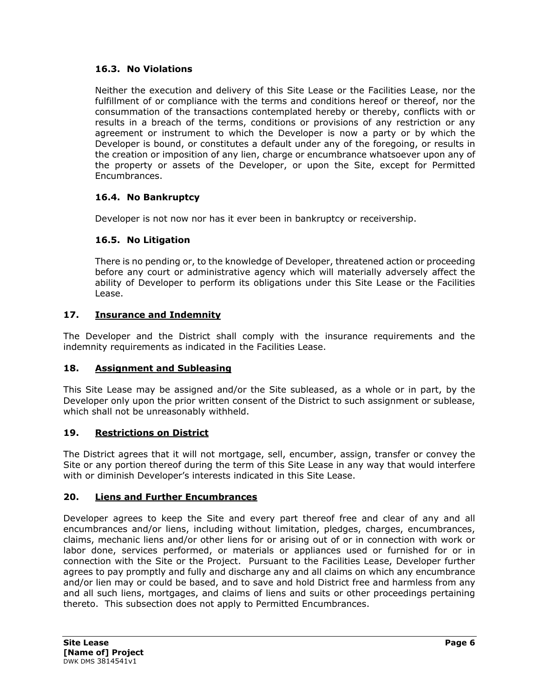# **16.3. No Violations**

Neither the execution and delivery of this Site Lease or the Facilities Lease, nor the fulfillment of or compliance with the terms and conditions hereof or thereof, nor the consummation of the transactions contemplated hereby or thereby, conflicts with or results in a breach of the terms, conditions or provisions of any restriction or any agreement or instrument to which the Developer is now a party or by which the Developer is bound, or constitutes a default under any of the foregoing, or results in the creation or imposition of any lien, charge or encumbrance whatsoever upon any of the property or assets of the Developer, or upon the Site, except for Permitted Encumbrances.

# **16.4. No Bankruptcy**

Developer is not now nor has it ever been in bankruptcy or receivership.

# **16.5. No Litigation**

There is no pending or, to the knowledge of Developer, threatened action or proceeding before any court or administrative agency which will materially adversely affect the ability of Developer to perform its obligations under this Site Lease or the Facilities Lease.

# **17. Insurance and Indemnity**

The Developer and the District shall comply with the insurance requirements and the indemnity requirements as indicated in the Facilities Lease.

# **18. Assignment and Subleasing**

This Site Lease may be assigned and/or the Site subleased, as a whole or in part, by the Developer only upon the prior written consent of the District to such assignment or sublease, which shall not be unreasonably withheld.

# **19. Restrictions on District**

The District agrees that it will not mortgage, sell, encumber, assign, transfer or convey the Site or any portion thereof during the term of this Site Lease in any way that would interfere with or diminish Developer's interests indicated in this Site Lease.

# **20. Liens and Further Encumbrances**

Developer agrees to keep the Site and every part thereof free and clear of any and all encumbrances and/or liens, including without limitation, pledges, charges, encumbrances, claims, mechanic liens and/or other liens for or arising out of or in connection with work or labor done, services performed, or materials or appliances used or furnished for or in connection with the Site or the Project. Pursuant to the Facilities Lease, Developer further agrees to pay promptly and fully and discharge any and all claims on which any encumbrance and/or lien may or could be based, and to save and hold District free and harmless from any and all such liens, mortgages, and claims of liens and suits or other proceedings pertaining thereto. This subsection does not apply to Permitted Encumbrances.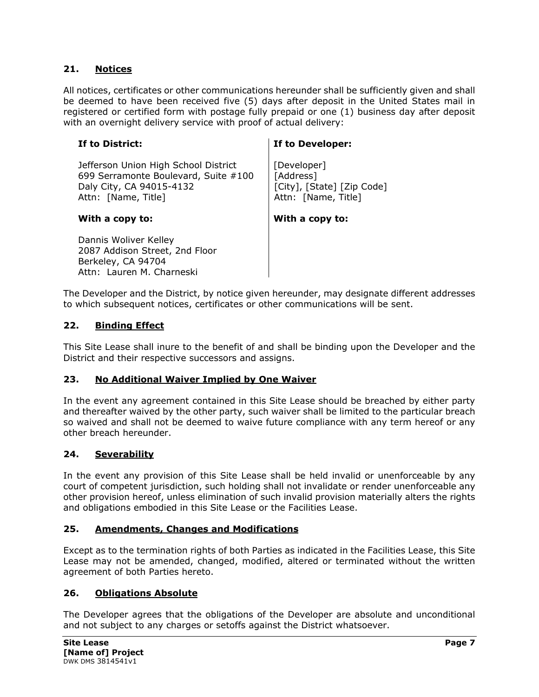#### **21. Notices**

All notices, certificates or other communications hereunder shall be sufficiently given and shall be deemed to have been received five (5) days after deposit in the United States mail in registered or certified form with postage fully prepaid or one (1) business day after deposit with an overnight delivery service with proof of actual delivery:

Jefferson Union High School District 699 Serramonte Boulevard, Suite #100 Daly City, CA 94015-4132 Attn: [Name, Title]

#### **With a copy to: With a copy to:**

Dannis Woliver Kelley 2087 Addison Street, 2nd Floor Berkeley, CA 94704 Attn: Lauren M. Charneski

#### **If to District: If to Developer:**

[Developer] [Address] [City], [State] [Zip Code] Attn: [Name, Title]

The Developer and the District, by notice given hereunder, may designate different addresses to which subsequent notices, certificates or other communications will be sent.

#### **22. Binding Effect**

This Site Lease shall inure to the benefit of and shall be binding upon the Developer and the District and their respective successors and assigns.

#### **23. No Additional Waiver Implied by One Waiver**

In the event any agreement contained in this Site Lease should be breached by either party and thereafter waived by the other party, such waiver shall be limited to the particular breach so waived and shall not be deemed to waive future compliance with any term hereof or any other breach hereunder.

#### **24. Severability**

In the event any provision of this Site Lease shall be held invalid or unenforceable by any court of competent jurisdiction, such holding shall not invalidate or render unenforceable any other provision hereof, unless elimination of such invalid provision materially alters the rights and obligations embodied in this Site Lease or the Facilities Lease.

#### **25. Amendments, Changes and Modifications**

Except as to the termination rights of both Parties as indicated in the Facilities Lease, this Site Lease may not be amended, changed, modified, altered or terminated without the written agreement of both Parties hereto.

#### **26. Obligations Absolute**

The Developer agrees that the obligations of the Developer are absolute and unconditional and not subject to any charges or setoffs against the District whatsoever.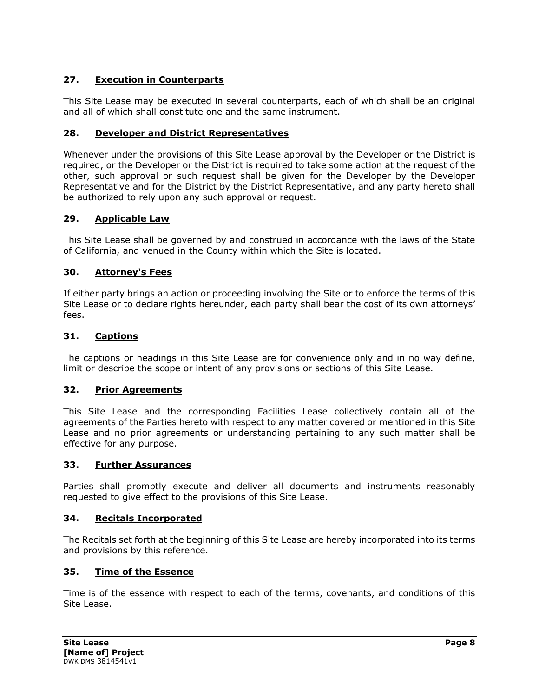# **27. Execution in Counterparts**

This Site Lease may be executed in several counterparts, each of which shall be an original and all of which shall constitute one and the same instrument.

# **28. Developer and District Representatives**

Whenever under the provisions of this Site Lease approval by the Developer or the District is required, or the Developer or the District is required to take some action at the request of the other, such approval or such request shall be given for the Developer by the Developer Representative and for the District by the District Representative, and any party hereto shall be authorized to rely upon any such approval or request.

# **29. Applicable Law**

This Site Lease shall be governed by and construed in accordance with the laws of the State of California, and venued in the County within which the Site is located.

# **30. Attorney's Fees**

If either party brings an action or proceeding involving the Site or to enforce the terms of this Site Lease or to declare rights hereunder, each party shall bear the cost of its own attorneys' fees.

# **31. Captions**

The captions or headings in this Site Lease are for convenience only and in no way define, limit or describe the scope or intent of any provisions or sections of this Site Lease.

# **32. Prior Agreements**

This Site Lease and the corresponding Facilities Lease collectively contain all of the agreements of the Parties hereto with respect to any matter covered or mentioned in this Site Lease and no prior agreements or understanding pertaining to any such matter shall be effective for any purpose.

# **33. Further Assurances**

Parties shall promptly execute and deliver all documents and instruments reasonably requested to give effect to the provisions of this Site Lease.

# **34. Recitals Incorporated**

The Recitals set forth at the beginning of this Site Lease are hereby incorporated into its terms and provisions by this reference.

# **35. Time of the Essence**

Time is of the essence with respect to each of the terms, covenants, and conditions of this Site Lease.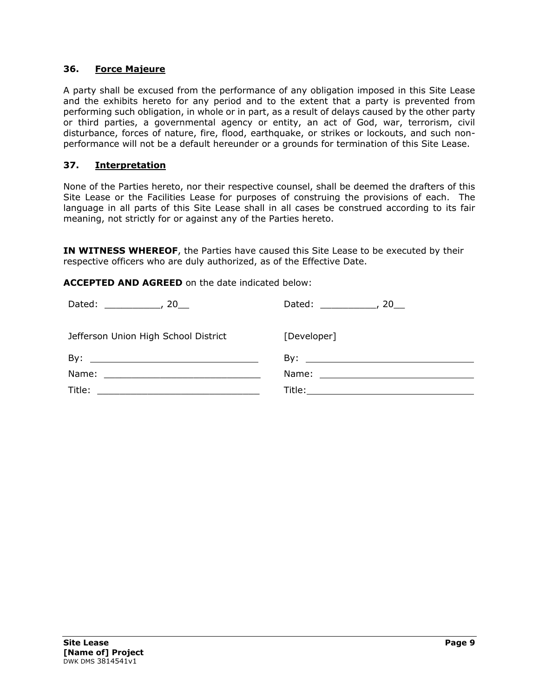#### **36. Force Majeure**

A party shall be excused from the performance of any obligation imposed in this Site Lease and the exhibits hereto for any period and to the extent that a party is prevented from performing such obligation, in whole or in part, as a result of delays caused by the other party or third parties, a governmental agency or entity, an act of God, war, terrorism, civil disturbance, forces of nature, fire, flood, earthquake, or strikes or lockouts, and such nonperformance will not be a default hereunder or a grounds for termination of this Site Lease.

# **37. Interpretation**

None of the Parties hereto, nor their respective counsel, shall be deemed the drafters of this Site Lease or the Facilities Lease for purposes of construing the provisions of each. The language in all parts of this Site Lease shall in all cases be construed according to its fair meaning, not strictly for or against any of the Parties hereto.

**IN WITNESS WHEREOF**, the Parties have caused this Site Lease to be executed by their respective officers who are duly authorized, as of the Effective Date.

**ACCEPTED AND AGREED** on the date indicated below:

| Jefferson Union High School District | [Developer]                                                                                                                                                                                                                         |
|--------------------------------------|-------------------------------------------------------------------------------------------------------------------------------------------------------------------------------------------------------------------------------------|
|                                      | $\mathsf{By:}\n \overline{\phantom{aa}}$                                                                                                                                                                                            |
|                                      |                                                                                                                                                                                                                                     |
|                                      | <b>Title:</b> The contract of the contract of the contract of the contract of the contract of the contract of the contract of the contract of the contract of the contract of the contract of the contract of the contract of the c |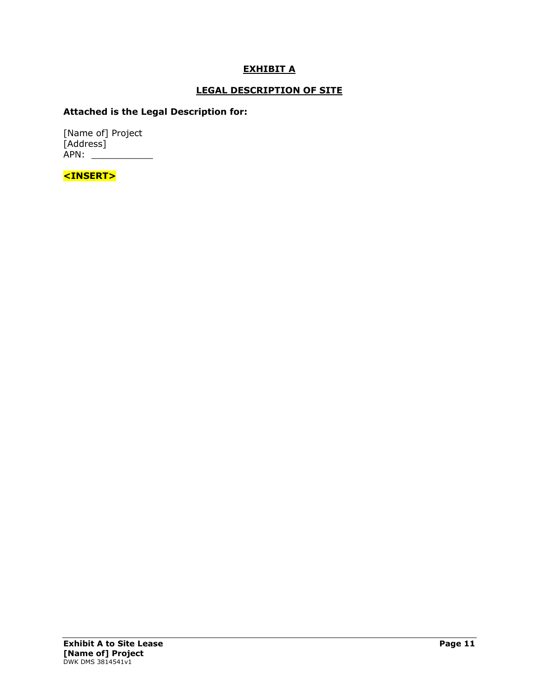# **EXHIBIT A**

# **LEGAL DESCRIPTION OF SITE**

# **Attached is the Legal Description for:**

[Name of] Project [Address] APN: \_\_\_\_\_\_\_\_\_\_\_

**<INSERT>**